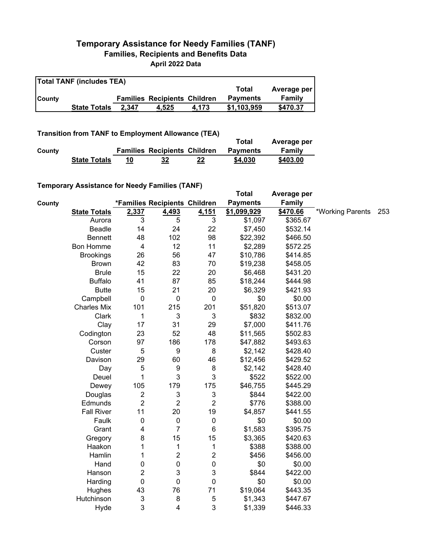## **Temporary Assistance for Needy Families (TANF) Families, Recipients and Benefits Data April 2022 Data**

| <b>Total TANF (includes TEA)</b> |                     |       |                                     |       |                 |             |  |
|----------------------------------|---------------------|-------|-------------------------------------|-------|-----------------|-------------|--|
|                                  |                     |       |                                     |       | Total           | Average per |  |
| <b>County</b>                    |                     |       | <b>Families Recipients Children</b> |       | <b>Payments</b> | Family      |  |
|                                  | <b>State Totals</b> | 2.347 | 4.525                               | 4.173 | \$1.103.959     | \$470.37    |  |

## **Transition from TANF to Employment Allowance (TEA)**

|        | <b>IT ALISIUUIL II UILLE LAINE TO EILIPIOVILLEITE AILOWAILCE (TEA)</b> |    |                                     |    | Total           | Average per |
|--------|------------------------------------------------------------------------|----|-------------------------------------|----|-----------------|-------------|
| County |                                                                        |    | <b>Families Recipients Children</b> |    | <b>Payments</b> | Family      |
|        | <b>State Totals</b>                                                    | 10 | 32                                  | 22 | \$4,030         | \$403.00    |

## **Temporary Assistance for Needy Families (TANF)**

|        | $\frac{1}{2}$ componently assistantly for integral annual $\frac{1}{2}$ |                           |                               |                  | <b>Total</b>    | Average per   |                  |     |
|--------|-------------------------------------------------------------------------|---------------------------|-------------------------------|------------------|-----------------|---------------|------------------|-----|
| County |                                                                         |                           | *Families Recipients Children |                  | <b>Payments</b> | <b>Family</b> |                  |     |
|        | <b>State Totals</b>                                                     | 2,337                     | 4,493                         | 4,151            | \$1,099,929     | \$470.66      | *Working Parents | 253 |
|        | Aurora                                                                  | 3                         | 5                             | 3                | \$1,097         | \$365.67      |                  |     |
|        | <b>Beadle</b>                                                           | 14                        | 24                            | 22               | \$7,450         | \$532.14      |                  |     |
|        | <b>Bennett</b>                                                          | 48                        | 102                           | 98               | \$22,392        | \$466.50      |                  |     |
|        | <b>Bon Homme</b>                                                        | $\overline{4}$            | 12                            | 11               | \$2,289         | \$572.25      |                  |     |
|        | <b>Brookings</b>                                                        | 26                        | 56                            | 47               | \$10,786        | \$414.85      |                  |     |
|        | <b>Brown</b>                                                            | 42                        | 83                            | 70               | \$19,238        | \$458.05      |                  |     |
|        | <b>Brule</b>                                                            | 15                        | 22                            | 20               | \$6,468         | \$431.20      |                  |     |
|        | <b>Buffalo</b>                                                          | 41                        | 87                            | 85               | \$18,244        | \$444.98      |                  |     |
|        | <b>Butte</b>                                                            | 15                        | 21                            | 20               | \$6,329         | \$421.93      |                  |     |
|        | Campbell                                                                | $\pmb{0}$                 | $\boldsymbol{0}$              | $\pmb{0}$        | \$0             | \$0.00        |                  |     |
|        | <b>Charles Mix</b>                                                      | 101                       | 215                           | 201              | \$51,820        | \$513.07      |                  |     |
|        | Clark                                                                   | 1                         | 3                             | 3                | \$832           | \$832.00      |                  |     |
|        | Clay                                                                    | 17                        | 31                            | 29               | \$7,000         | \$411.76      |                  |     |
|        | Codington                                                               | 23                        | 52                            | 48               | \$11,565        | \$502.83      |                  |     |
|        | Corson                                                                  | 97                        | 186                           | 178              | \$47,882        | \$493.63      |                  |     |
|        | Custer                                                                  | $\mathbf 5$               | $\boldsymbol{9}$              | 8                | \$2,142         | \$428.40      |                  |     |
|        | Davison                                                                 | 29                        | 60                            | 46               | \$12,456        | \$429.52      |                  |     |
|        | Day                                                                     | $\mathbf 5$               | 9                             | 8                | \$2,142         | \$428.40      |                  |     |
|        | Deuel                                                                   | 1                         | 3                             | 3                | \$522           | \$522.00      |                  |     |
|        | Dewey                                                                   | 105                       | 179                           | 175              | \$46,755        | \$445.29      |                  |     |
|        | Douglas                                                                 | $\overline{c}$            | 3                             | 3                | \$844           | \$422.00      |                  |     |
|        | Edmunds                                                                 | $\overline{2}$            | $\overline{2}$                | $\overline{2}$   | \$776           | \$388.00      |                  |     |
|        | <b>Fall River</b>                                                       | 11                        | 20                            | 19               | \$4,857         | \$441.55      |                  |     |
|        | Faulk                                                                   | 0                         | $\pmb{0}$                     | $\boldsymbol{0}$ | \$0             | \$0.00        |                  |     |
|        | Grant                                                                   | 4                         | $\overline{7}$                | $\,6$            | \$1,583         | \$395.75      |                  |     |
|        | Gregory                                                                 | 8                         | 15                            | 15               | \$3,365         | \$420.63      |                  |     |
|        | Haakon                                                                  | 1                         | 1                             | 1                | \$388           | \$388.00      |                  |     |
|        | Hamlin                                                                  | 1                         | $\overline{\mathbf{c}}$       | $\overline{c}$   | \$456           | \$456.00      |                  |     |
|        | Hand                                                                    | 0                         | $\pmb{0}$                     | $\boldsymbol{0}$ | \$0             | \$0.00        |                  |     |
|        | Hanson                                                                  | $\overline{\mathbf{c}}$   | 3                             | 3                | \$844           | \$422.00      |                  |     |
|        | Harding                                                                 | $\pmb{0}$                 | $\mathbf 0$                   | $\mathbf 0$      | \$0             | \$0.00        |                  |     |
|        | Hughes                                                                  | 43                        | 76                            | 71               | \$19,064        | \$443.35      |                  |     |
|        | Hutchinson                                                              | $\ensuremath{\mathsf{3}}$ | 8                             | $\sqrt{5}$       | \$1,343         | \$447.67      |                  |     |
|        | Hyde                                                                    | 3                         | 4                             | 3                | \$1,339         | \$446.33      |                  |     |